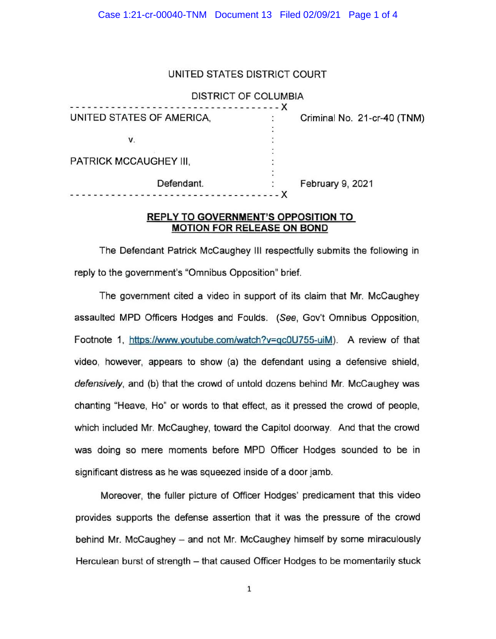## UNITED STATES DISTRICT COURT

### DISTRICT OF COLUMBIA

| Criminal No. 21-cr-40 (TNM)    |
|--------------------------------|
|                                |
|                                |
|                                |
|                                |
|                                |
| February 9, 2021               |
|                                |
| ------------------------------ |

## **REPLY TO GOVERNMENT'S OPPOSITION TO MOTION FOR RELEASE ON BOND**

The Defendant Patrick McCaughey Ill respectfully submits the following in reply to the government's "Omnibus Opposition" brief.

The government cited a video in support of its claim that Mr. McCaughey assaulted MPD Officers Hodges and Foulds. (See, Gov't Omnibus Opposition, Footnote 1, https://www.youtube.com/watch?v=qcOU755-uiM). A review of that video, however, appears to show (a) the defendant using a defensive shield, defensively, and (b) that the crowd of untold dozens behind Mr. McCaughey was chanting "Heave, Ho" or words to that effect, as it pressed the crowd of people, which included Mr. McCaughey, toward the Capitol doorway. And that the crowd was doing so mere moments before MPD Officer Hodges sounded to be in significant distress as he was squeezed inside of a door jamb.

Moreover, the fuller picture of Officer Hodges' predicament that this video provides supports the defense assertion that it was the pressure of the crowd behind Mr. McCaughey - and not Mr. McCaughey himself by some miraculously Herculean burst of strength - that caused Officer Hodges to be momentarily stuck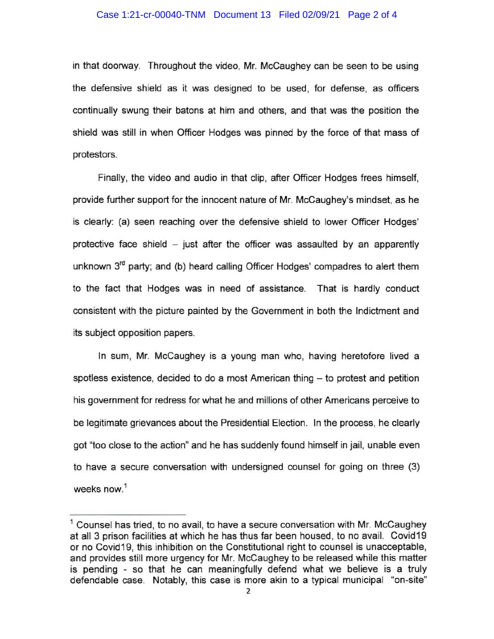### Case 1:21-cr-00040-TNM Document 13 Filed 02/09/21 Page 2 of 4

in that doorway. Throughout the video, Mr. McCaughey can be seen to be using the defensive shield as it was designed to be used, for defense, as officers continually swung their batons at him and others, and that was the position the shield was still in when Officer Hodges was pinned by the force of that mass of protestors.

Finally, the video and audio in that clip, after Officer Hodges frees himself, provide further support for the innocent nature of Mr. McCaughey's mindset, as he is clearly: (a) seen reaching over the defensive shield to lower Officer Hodges' protective face shield  $-$  just after the officer was assaulted by an apparently unknown  $3<sup>rd</sup>$  party; and (b) heard calling Officer Hodges' compadres to alert them to the fact that Hodges was in need of assistance. That is hardly conduct consistent with the picture painted by the Government in both the Indictment and its subject opposition papers.

In sum, Mr. McCaughey is a young man who, having heretofore lived a spotless existence, decided to do a most American thing  $-$  to protest and petition his government for redress for what he and millions of other Americans perceive to be legitimate grievances about the Presidential Election. In the process, he clearly got "too close to the action" and he has suddenly found himself in jail, unable even to have a secure conversation with undersigned counsel for going on three (3) weeks now. 1

 $<sup>1</sup>$  Counsel has tried, to no avail, to have a secure conversation with Mr. McCaughey</sup> at all 3 prison facilities at which he has thus far been housed, to no avail. Covid19 or no Covid19, this inhibition on the Constitutional right to counsel is unacceptable, and provides still more urgency for Mr. McCaughey to be released while this matter is pending - so that he can meaningfully defend what we believe is a truly defendable case. Notably, this case is more akin to a typical municipal "on-site"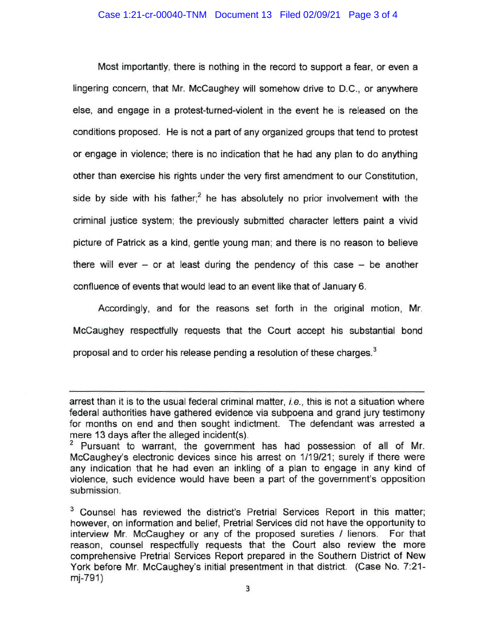Most importantly, there is nothing in the record to support a fear, or even a lingering concern, that Mr. McCaughey will somehow drive to D.C., or anywhere else, and engage in a protest-turned-violent in the event he is released on the conditions proposed. He is not a part of any organized groups that tend to protest or engage in violence; there is no indication that he had any plan to do anything other than exercise his rights under the very first amendment to our Constitution, side by side with his father;<sup>2</sup> he has absolutely no prior involvement with the criminal justice system; the previously submitted character letters paint a vivid picture of Patrick as a kind, gentle young man; and there is no reason to believe there will ever  $-$  or at least during the pendency of this case  $-$  be another confluence of events that would lead to an event like that of January 6.

Accordingly, and for the reasons set forth in the original motion, Mr. McCaughey respectfully requests that the Court accept his substantial bond proposal and to order his release pending a resolution of these charges. $^3$ 

arrest than it is to the usual federal criminal matter, i.e., this is not a situation where federal authorities have gathered evidence via subpoena and grand jury testimony for months on end and then sought indictment. The defendant was arrested a mere 13 days after the alleged incident(s).<br><sup>2</sup> Pursuant to warrant, the government has had possession of all of Mr.

McCaughey's electronic devices since his arrest on 1/19/21; surely if there were any indication that he had even an inkling of a plan to engage in any kind of violence, such evidence would have been a part of the government's opposition submission.

<sup>&</sup>lt;sup>3</sup> Counsel has reviewed the district's Pretrial Services Report in this matter; however, on information and belief, Pretrial Services did not have the opportunity to interview Mr. McCaughey or any of the proposed sureties / lienors. For that reason, counsel respectfully requests that the Court also review the more comprehensive Pretrial Services Report prepared in the Southern District of New York before Mr. McCaughey's initial presentment in that district. (Case No. 7:21 mj-791)